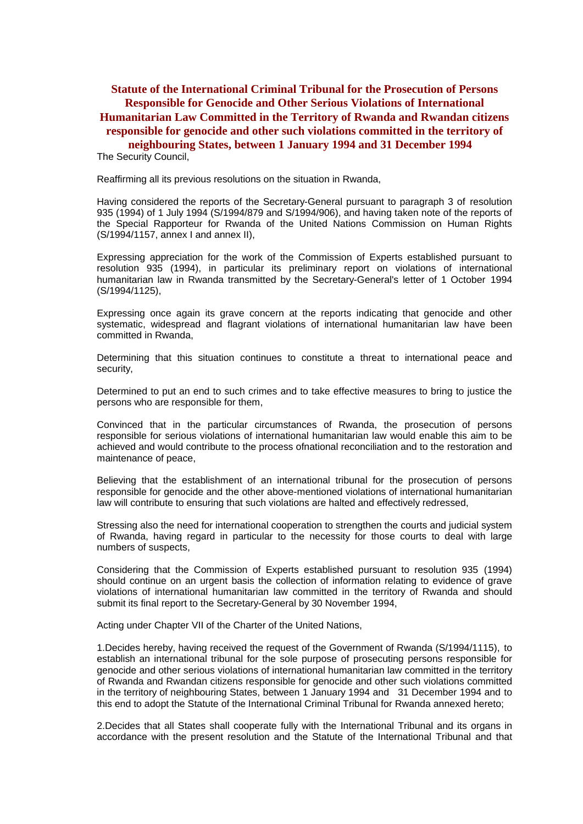# **Statute of the International Criminal Tribunal for the Prosecution of Persons Responsible for Genocide and Other Serious Violations of International Humanitarian Law Committed in the Territory of Rwanda and Rwandan citizens responsible for genocide and other such violations committed in the territory of**

**neighbouring States, between 1 January 1994 and 31 December 1994** The Security Council,

Reaffirming all its previous resolutions on the situation in Rwanda,

Having considered the reports of the Secretary-General pursuant to paragraph 3 of resolution 935 (1994) of 1 July 1994 (S/1994/879 and S/1994/906), and having taken note of the reports of the Special Rapporteur for Rwanda of the United Nations Commission on Human Rights (S/1994/1157, annex I and annex II),

Expressing appreciation for the work of the Commission of Experts established pursuant to resolution 935 (1994), in particular its preliminary report on violations of international humanitarian law in Rwanda transmitted by the Secretary-General's letter of 1 October 1994 (S/1994/1125),

Expressing once again its grave concern at the reports indicating that genocide and other systematic, widespread and flagrant violations of international humanitarian law have been committed in Rwanda,

Determining that this situation continues to constitute a threat to international peace and security,

Determined to put an end to such crimes and to take effective measures to bring to justice the persons who are responsible for them,

Convinced that in the particular circumstances of Rwanda, the prosecution of persons responsible for serious violations of international humanitarian law would enable this aim to be achieved and would contribute to the process ofnational reconciliation and to the restoration and maintenance of peace,

Believing that the establishment of an international tribunal for the prosecution of persons responsible for genocide and the other above-mentioned violations of international humanitarian law will contribute to ensuring that such violations are halted and effectively redressed,

Stressing also the need for international cooperation to strengthen the courts and judicial system of Rwanda, having regard in particular to the necessity for those courts to deal with large numbers of suspects,

Considering that the Commission of Experts established pursuant to resolution 935 (1994) should continue on an urgent basis the collection of information relating to evidence of grave violations of international humanitarian law committed in the territory of Rwanda and should submit its final report to the Secretary-General by 30 November 1994,

Acting under Chapter VII of the Charter of the United Nations,

1.Decides hereby, having received the request of the Government of Rwanda (S/1994/1115), to establish an international tribunal for the sole purpose of prosecuting persons responsible for genocide and other serious violations of international humanitarian law committed in the territory of Rwanda and Rwandan citizens responsible for genocide and other such violations committed in the territory of neighbouring States, between 1 January 1994 and 31 December 1994 and to this end to adopt the Statute of the International Criminal Tribunal for Rwanda annexed hereto;

2.Decides that all States shall cooperate fully with the International Tribunal and its organs in accordance with the present resolution and the Statute of the International Tribunal and that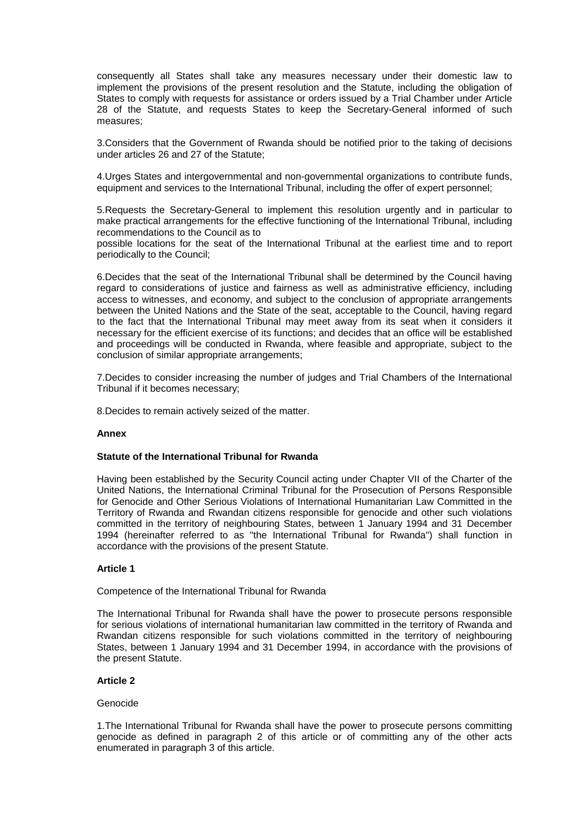consequently all States shall take any measures necessary under their domestic law to implement the provisions of the present resolution and the Statute, including the obligation of States to comply with requests for assistance or orders issued by a Trial Chamber under Article 28 of the Statute, and requests States to keep the Secretary-General informed of such measures;

3.Considers that the Government of Rwanda should be notified prior to the taking of decisions under articles 26 and 27 of the Statute;

4.Urges States and intergovernmental and non-governmental organizations to contribute funds, equipment and services to the International Tribunal, including the offer of expert personnel;

5.Requests the Secretary-General to implement this resolution urgently and in particular to make practical arrangements for the effective functioning of the International Tribunal, including recommendations to the Council as to

possible locations for the seat of the International Tribunal at the earliest time and to report periodically to the Council;

6.Decides that the seat of the International Tribunal shall be determined by the Council having regard to considerations of justice and fairness as well as administrative efficiency, including access to witnesses, and economy, and subject to the conclusion of appropriate arrangements between the United Nations and the State of the seat, acceptable to the Council, having regard to the fact that the International Tribunal may meet away from its seat when it considers it necessary for the efficient exercise of its functions; and decides that an office will be established and proceedings will be conducted in Rwanda, where feasible and appropriate, subject to the conclusion of similar appropriate arrangements;

7.Decides to consider increasing the number of judges and Trial Chambers of the International Tribunal if it becomes necessary;

8.Decides to remain actively seized of the matter.

#### **Annex**

# **Statute of the International Tribunal for Rwanda**

Having been established by the Security Council acting under Chapter VII of the Charter of the United Nations, the International Criminal Tribunal for the Prosecution of Persons Responsible for Genocide and Other Serious Violations of International Humanitarian Law Committed in the Territory of Rwanda and Rwandan citizens responsible for genocide and other such violations committed in the territory of neighbouring States, between 1 January 1994 and 31 December 1994 (hereinafter referred to as "the International Tribunal for Rwanda") shall function in accordance with the provisions of the present Statute.

#### **Article 1**

Competence of the International Tribunal for Rwanda

The International Tribunal for Rwanda shall have the power to prosecute persons responsible for serious violations of international humanitarian law committed in the territory of Rwanda and Rwandan citizens responsible for such violations committed in the territory of neighbouring States, between 1 January 1994 and 31 December 1994, in accordance with the provisions of the present Statute.

## **Article 2**

#### Genocide

1.The International Tribunal for Rwanda shall have the power to prosecute persons committing genocide as defined in paragraph 2 of this article or of committing any of the other acts enumerated in paragraph 3 of this article.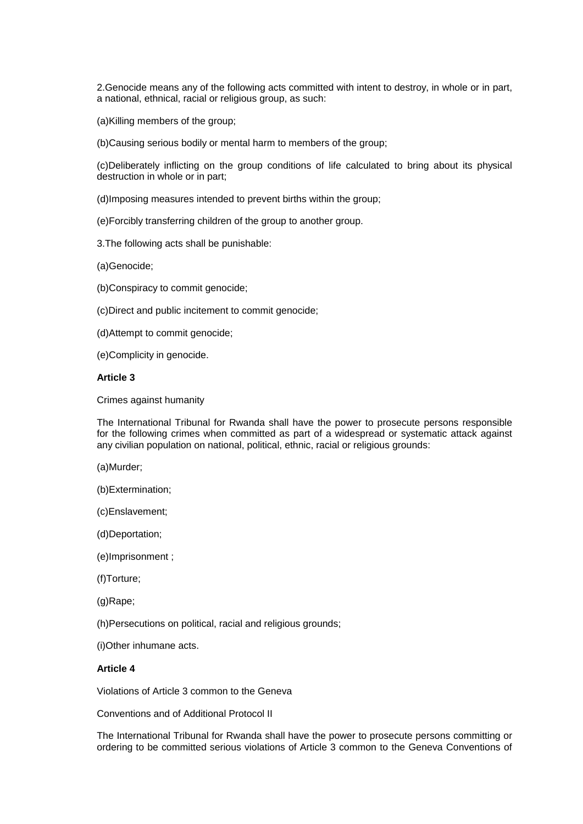2.Genocide means any of the following acts committed with intent to destroy, in whole or in part, a national, ethnical, racial or religious group, as such:

(a)Killing members of the group;

(b)Causing serious bodily or mental harm to members of the group;

(c)Deliberately inflicting on the group conditions of life calculated to bring about its physical destruction in whole or in part;

(d)Imposing measures intended to prevent births within the group;

- (e)Forcibly transferring children of the group to another group.
- 3.The following acts shall be punishable:

(a)Genocide;

(b)Conspiracy to commit genocide;

(c)Direct and public incitement to commit genocide;

- (d)Attempt to commit genocide;
- (e)Complicity in genocide.

#### **Article 3**

Crimes against humanity

The International Tribunal for Rwanda shall have the power to prosecute persons responsible for the following crimes when committed as part of a widespread or systematic attack against any civilian population on national, political, ethnic, racial or religious grounds:

(a)Murder;

- (b)Extermination;
- (c)Enslavement;
- (d)Deportation;
- (e)Imprisonment ;
- (f)Torture;
- (g)Rape;

(h)Persecutions on political, racial and religious grounds;

(i)Other inhumane acts.

# **Article 4**

Violations of Article 3 common to the Geneva

Conventions and of Additional Protocol II

The International Tribunal for Rwanda shall have the power to prosecute persons committing or ordering to be committed serious violations of Article 3 common to the Geneva Conventions of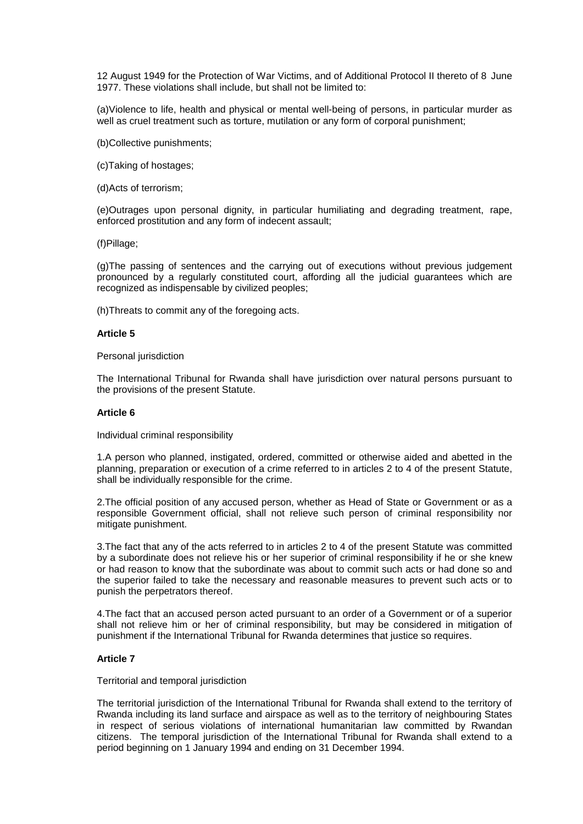12 August 1949 for the Protection of War Victims, and of Additional Protocol II thereto of 8 June 1977. These violations shall include, but shall not be limited to:

(a)Violence to life, health and physical or mental well-being of persons, in particular murder as well as cruel treatment such as torture, mutilation or any form of corporal punishment;

(b)Collective punishments;

(c)Taking of hostages;

(d)Acts of terrorism;

(e)Outrages upon personal dignity, in particular humiliating and degrading treatment, rape, enforced prostitution and any form of indecent assault;

(f)Pillage;

(g)The passing of sentences and the carrying out of executions without previous judgement pronounced by a regularly constituted court, affording all the judicial guarantees which are recognized as indispensable by civilized peoples;

(h)Threats to commit any of the foregoing acts.

#### **Article 5**

Personal jurisdiction

The International Tribunal for Rwanda shall have jurisdiction over natural persons pursuant to the provisions of the present Statute.

#### **Article 6**

Individual criminal responsibility

1.A person who planned, instigated, ordered, committed or otherwise aided and abetted in the planning, preparation or execution of a crime referred to in articles 2 to 4 of the present Statute, shall be individually responsible for the crime.

2.The official position of any accused person, whether as Head of State or Government or as a responsible Government official, shall not relieve such person of criminal responsibility nor mitigate punishment.

3.The fact that any of the acts referred to in articles 2 to 4 of the present Statute was committed by a subordinate does not relieve his or her superior of criminal responsibility if he or she knew or had reason to know that the subordinate was about to commit such acts or had done so and the superior failed to take the necessary and reasonable measures to prevent such acts or to punish the perpetrators thereof.

4.The fact that an accused person acted pursuant to an order of a Government or of a superior shall not relieve him or her of criminal responsibility, but may be considered in mitigation of punishment if the International Tribunal for Rwanda determines that justice so requires.

# **Article 7**

Territorial and temporal jurisdiction

The territorial jurisdiction of the International Tribunal for Rwanda shall extend to the territory of Rwanda including its land surface and airspace as well as to the territory of neighbouring States in respect of serious violations of international humanitarian law committed by Rwandan citizens. The temporal jurisdiction of the International Tribunal for Rwanda shall extend to a period beginning on 1 January 1994 and ending on 31 December 1994.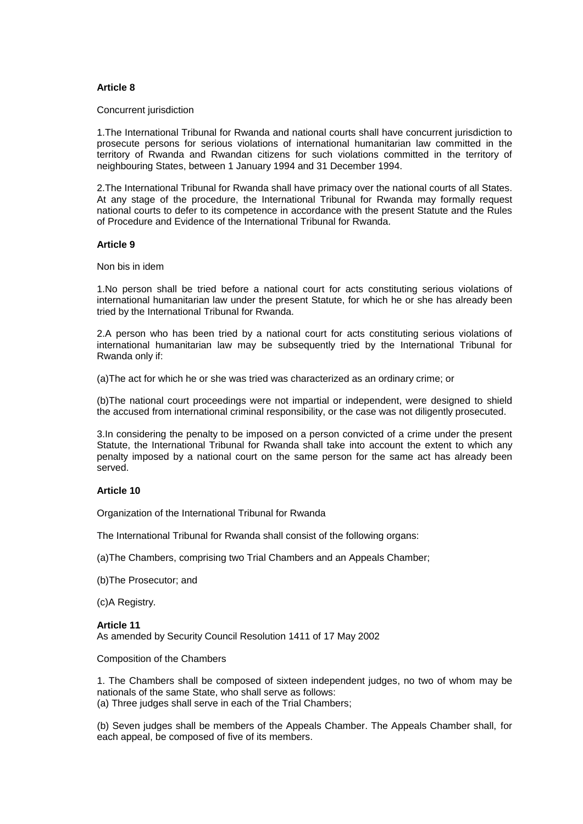## **Article 8**

#### Concurrent jurisdiction

1.The International Tribunal for Rwanda and national courts shall have concurrent jurisdiction to prosecute persons for serious violations of international humanitarian law committed in the territory of Rwanda and Rwandan citizens for such violations committed in the territory of neighbouring States, between 1 January 1994 and 31 December 1994.

2.The International Tribunal for Rwanda shall have primacy over the national courts of all States. At any stage of the procedure, the International Tribunal for Rwanda may formally request national courts to defer to its competence in accordance with the present Statute and the Rules of Procedure and Evidence of the International Tribunal for Rwanda.

#### **Article 9**

#### Non bis in idem

1.No person shall be tried before a national court for acts constituting serious violations of international humanitarian law under the present Statute, for which he or she has already been tried by the International Tribunal for Rwanda.

2.A person who has been tried by a national court for acts constituting serious violations of international humanitarian law may be subsequently tried by the International Tribunal for Rwanda only if:

(a)The act for which he or she was tried was characterized as an ordinary crime; or

(b)The national court proceedings were not impartial or independent, were designed to shield the accused from international criminal responsibility, or the case was not diligently prosecuted.

3.In considering the penalty to be imposed on a person convicted of a crime under the present Statute, the International Tribunal for Rwanda shall take into account the extent to which any penalty imposed by a national court on the same person for the same act has already been served.

## **Article 10**

Organization of the International Tribunal for Rwanda

The International Tribunal for Rwanda shall consist of the following organs:

(a)The Chambers, comprising two Trial Chambers and an Appeals Chamber;

(b)The Prosecutor; and

(c)A Registry.

**Article 11** As amended by Security Council Resolution 1411 of 17 May 2002

Composition of the Chambers

1. The Chambers shall be composed of sixteen independent judges, no two of whom may be nationals of the same State, who shall serve as follows:

(a) Three judges shall serve in each of the Trial Chambers;

(b) Seven judges shall be members of the Appeals Chamber. The Appeals Chamber shall, for each appeal, be composed of five of its members.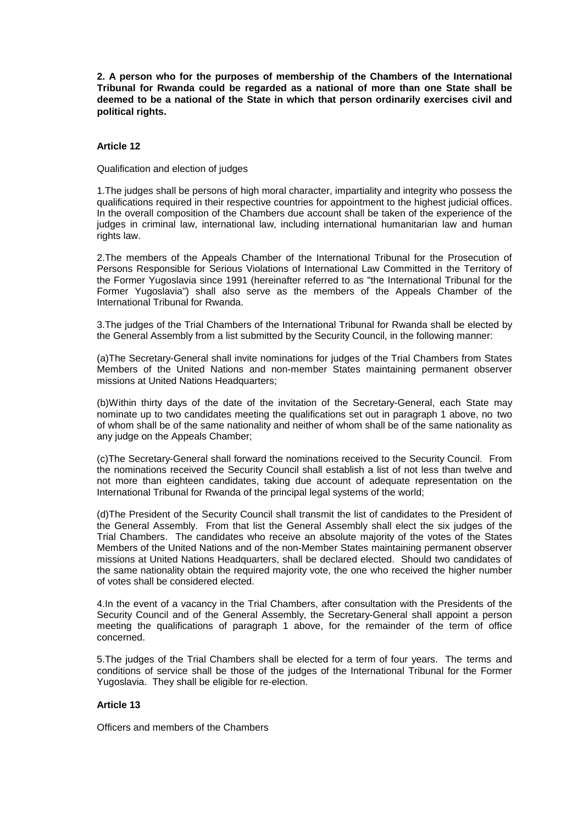**2. A person who for the purposes of membership of the Chambers of the International Tribunal for Rwanda could be regarded as a national of more than one State shall be deemed to be a national of the State in which that person ordinarily exercises civil and political rights.**

# **Article 12**

Qualification and election of judges

1.The judges shall be persons of high moral character, impartiality and integrity who possess the qualifications required in their respective countries for appointment to the highest judicial offices. In the overall composition of the Chambers due account shall be taken of the experience of the judges in criminal law, international law, including international humanitarian law and human rights law.

2.The members of the Appeals Chamber of the International Tribunal for the Prosecution of Persons Responsible for Serious Violations of International Law Committed in the Territory of the Former Yugoslavia since 1991 (hereinafter referred to as "the International Tribunal for the Former Yugoslavia") shall also serve as the members of the Appeals Chamber of the International Tribunal for Rwanda.

3.The judges of the Trial Chambers of the International Tribunal for Rwanda shall be elected by the General Assembly from a list submitted by the Security Council, in the following manner:

(a)The Secretary-General shall invite nominations for judges of the Trial Chambers from States Members of the United Nations and non-member States maintaining permanent observer missions at United Nations Headquarters;

(b)Within thirty days of the date of the invitation of the Secretary-General, each State may nominate up to two candidates meeting the qualifications set out in paragraph 1 above, no two of whom shall be of the same nationality and neither of whom shall be of the same nationality as any judge on the Appeals Chamber:

(c)The Secretary-General shall forward the nominations received to the Security Council. From the nominations received the Security Council shall establish a list of not less than twelve and not more than eighteen candidates, taking due account of adequate representation on the International Tribunal for Rwanda of the principal legal systems of the world;

(d)The President of the Security Council shall transmit the list of candidates to the President of the General Assembly. From that list the General Assembly shall elect the six judges of the Trial Chambers. The candidates who receive an absolute majority of the votes of the States Members of the United Nations and of the non-Member States maintaining permanent observer missions at United Nations Headquarters, shall be declared elected. Should two candidates of the same nationality obtain the required majority vote, the one who received the higher number of votes shall be considered elected.

4.In the event of a vacancy in the Trial Chambers, after consultation with the Presidents of the Security Council and of the General Assembly, the Secretary-General shall appoint a person meeting the qualifications of paragraph 1 above, for the remainder of the term of office concerned.

5.The judges of the Trial Chambers shall be elected for a term of four years. The terms and conditions of service shall be those of the judges of the International Tribunal for the Former Yugoslavia. They shall be eligible for re-election.

## **Article 13**

Officers and members of the Chambers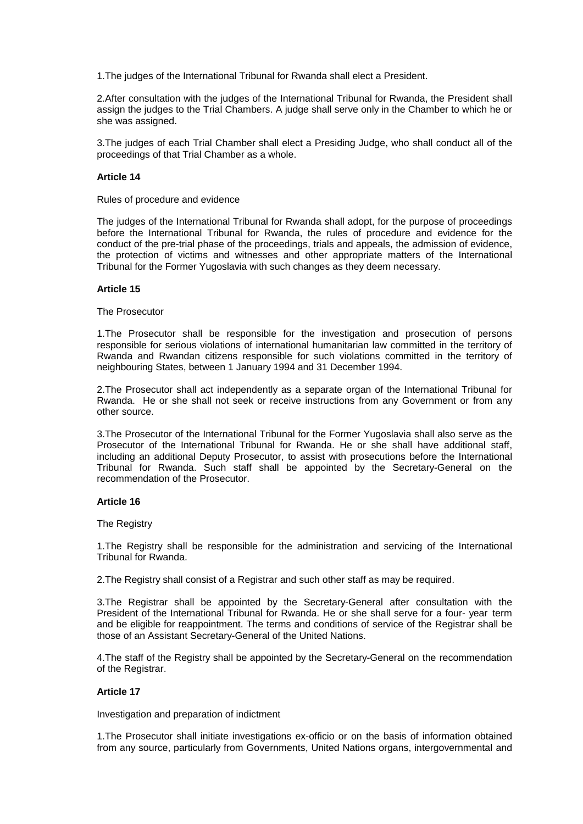1.The judges of the International Tribunal for Rwanda shall elect a President.

2.After consultation with the judges of the International Tribunal for Rwanda, the President shall assign the judges to the Trial Chambers. A judge shall serve only in the Chamber to which he or she was assigned.

3.The judges of each Trial Chamber shall elect a Presiding Judge, who shall conduct all of the proceedings of that Trial Chamber as a whole.

## **Article 14**

Rules of procedure and evidence

The judges of the International Tribunal for Rwanda shall adopt, for the purpose of proceedings before the International Tribunal for Rwanda, the rules of procedure and evidence for the conduct of the pre-trial phase of the proceedings, trials and appeals, the admission of evidence, the protection of victims and witnesses and other appropriate matters of the International Tribunal for the Former Yugoslavia with such changes as they deem necessary.

## **Article 15**

#### The Prosecutor

1.The Prosecutor shall be responsible for the investigation and prosecution of persons responsible for serious violations of international humanitarian law committed in the territory of Rwanda and Rwandan citizens responsible for such violations committed in the territory of neighbouring States, between 1 January 1994 and 31 December 1994.

2.The Prosecutor shall act independently as a separate organ of the International Tribunal for Rwanda. He or she shall not seek or receive instructions from any Government or from any other source.

3.The Prosecutor of the International Tribunal for the Former Yugoslavia shall also serve as the Prosecutor of the International Tribunal for Rwanda. He or she shall have additional staff, including an additional Deputy Prosecutor, to assist with prosecutions before the International Tribunal for Rwanda. Such staff shall be appointed by the Secretary-General on the recommendation of the Prosecutor.

## **Article 16**

The Registry

1.The Registry shall be responsible for the administration and servicing of the International Tribunal for Rwanda.

2.The Registry shall consist of a Registrar and such other staff as may be required.

3.The Registrar shall be appointed by the Secretary-General after consultation with the President of the International Tribunal for Rwanda. He or she shall serve for a four- year term and be eligible for reappointment. The terms and conditions of service of the Registrar shall be those of an Assistant Secretary-General of the United Nations.

4.The staff of the Registry shall be appointed by the Secretary-General on the recommendation of the Registrar.

# **Article 17**

Investigation and preparation of indictment

1.The Prosecutor shall initiate investigations ex-officio or on the basis of information obtained from any source, particularly from Governments, United Nations organs, intergovernmental and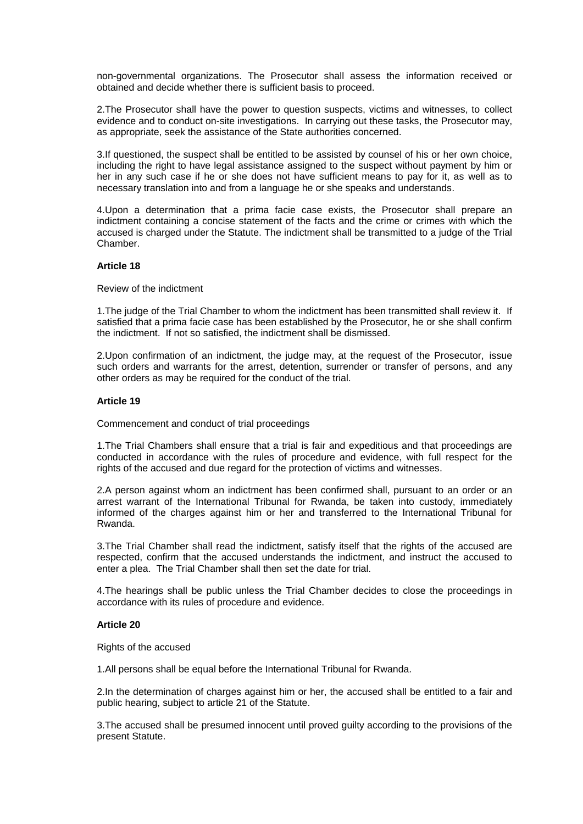non-governmental organizations. The Prosecutor shall assess the information received or obtained and decide whether there is sufficient basis to proceed.

2.The Prosecutor shall have the power to question suspects, victims and witnesses, to collect evidence and to conduct on-site investigations. In carrying out these tasks, the Prosecutor may, as appropriate, seek the assistance of the State authorities concerned.

3.If questioned, the suspect shall be entitled to be assisted by counsel of his or her own choice, including the right to have legal assistance assigned to the suspect without payment by him or her in any such case if he or she does not have sufficient means to pay for it, as well as to necessary translation into and from a language he or she speaks and understands.

4.Upon a determination that a prima facie case exists, the Prosecutor shall prepare an indictment containing a concise statement of the facts and the crime or crimes with which the accused is charged under the Statute. The indictment shall be transmitted to a judge of the Trial Chamber.

## **Article 18**

Review of the indictment

1.The judge of the Trial Chamber to whom the indictment has been transmitted shall review it. If satisfied that a prima facie case has been established by the Prosecutor, he or she shall confirm the indictment. If not so satisfied, the indictment shall be dismissed.

2.Upon confirmation of an indictment, the judge may, at the request of the Prosecutor, issue such orders and warrants for the arrest, detention, surrender or transfer of persons, and any other orders as may be required for the conduct of the trial.

# **Article 19**

Commencement and conduct of trial proceedings

1.The Trial Chambers shall ensure that a trial is fair and expeditious and that proceedings are conducted in accordance with the rules of procedure and evidence, with full respect for the rights of the accused and due regard for the protection of victims and witnesses.

2.A person against whom an indictment has been confirmed shall, pursuant to an order or an arrest warrant of the International Tribunal for Rwanda, be taken into custody, immediately informed of the charges against him or her and transferred to the International Tribunal for Rwanda.

3.The Trial Chamber shall read the indictment, satisfy itself that the rights of the accused are respected, confirm that the accused understands the indictment, and instruct the accused to enter a plea. The Trial Chamber shall then set the date for trial.

4.The hearings shall be public unless the Trial Chamber decides to close the proceedings in accordance with its rules of procedure and evidence.

## **Article 20**

Rights of the accused

1.All persons shall be equal before the International Tribunal for Rwanda.

2.In the determination of charges against him or her, the accused shall be entitled to a fair and public hearing, subject to article 21 of the Statute.

3.The accused shall be presumed innocent until proved guilty according to the provisions of the present Statute.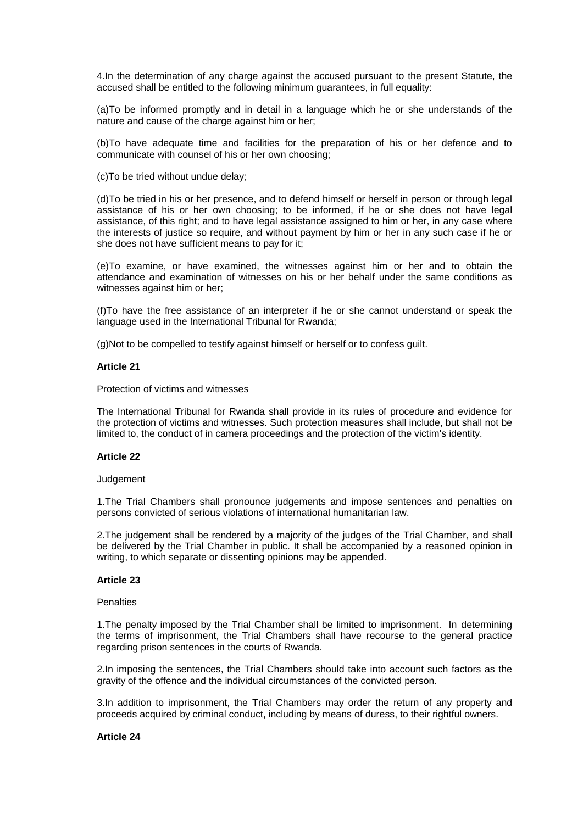4.In the determination of any charge against the accused pursuant to the present Statute, the accused shall be entitled to the following minimum guarantees, in full equality:

(a)To be informed promptly and in detail in a language which he or she understands of the nature and cause of the charge against him or her;

(b)To have adequate time and facilities for the preparation of his or her defence and to communicate with counsel of his or her own choosing;

(c)To be tried without undue delay;

(d)To be tried in his or her presence, and to defend himself or herself in person or through legal assistance of his or her own choosing; to be informed, if he or she does not have legal assistance, of this right; and to have legal assistance assigned to him or her, in any case where the interests of justice so require, and without payment by him or her in any such case if he or she does not have sufficient means to pay for it;

(e)To examine, or have examined, the witnesses against him or her and to obtain the attendance and examination of witnesses on his or her behalf under the same conditions as witnesses against him or her;

(f)To have the free assistance of an interpreter if he or she cannot understand or speak the language used in the International Tribunal for Rwanda;

(g)Not to be compelled to testify against himself or herself or to confess guilt.

## **Article 21**

Protection of victims and witnesses

The International Tribunal for Rwanda shall provide in its rules of procedure and evidence for the protection of victims and witnesses. Such protection measures shall include, but shall not be limited to, the conduct of in camera proceedings and the protection of the victim's identity.

## **Article 22**

#### **Judgement**

1.The Trial Chambers shall pronounce judgements and impose sentences and penalties on persons convicted of serious violations of international humanitarian law.

2.The judgement shall be rendered by a majority of the judges of the Trial Chamber, and shall be delivered by the Trial Chamber in public. It shall be accompanied by a reasoned opinion in writing, to which separate or dissenting opinions may be appended.

## **Article 23**

#### **Penalties**

1.The penalty imposed by the Trial Chamber shall be limited to imprisonment. In determining the terms of imprisonment, the Trial Chambers shall have recourse to the general practice regarding prison sentences in the courts of Rwanda.

2.In imposing the sentences, the Trial Chambers should take into account such factors as the gravity of the offence and the individual circumstances of the convicted person.

3.In addition to imprisonment, the Trial Chambers may order the return of any property and proceeds acquired by criminal conduct, including by means of duress, to their rightful owners.

#### **Article 24**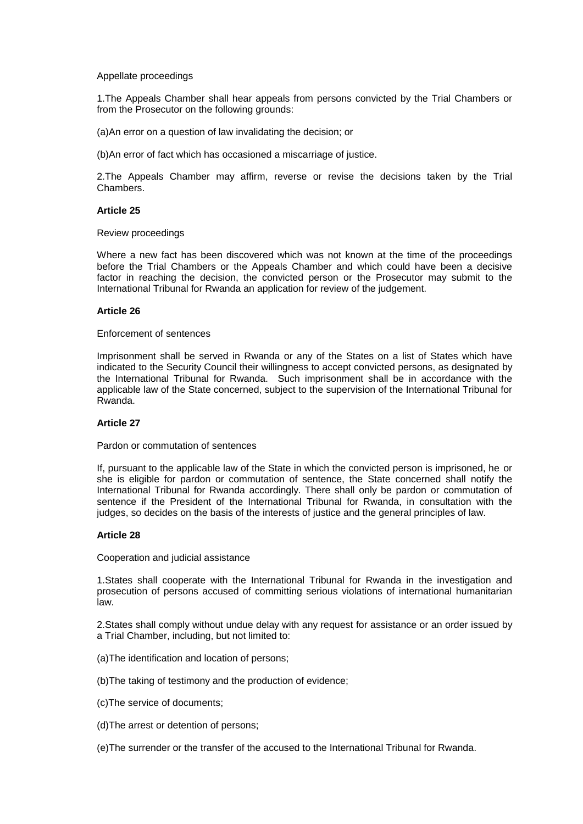### Appellate proceedings

1.The Appeals Chamber shall hear appeals from persons convicted by the Trial Chambers or from the Prosecutor on the following grounds:

(a)An error on a question of law invalidating the decision; or

(b)An error of fact which has occasioned a miscarriage of justice.

2.The Appeals Chamber may affirm, reverse or revise the decisions taken by the Trial Chambers.

#### **Article 25**

Review proceedings

Where a new fact has been discovered which was not known at the time of the proceedings before the Trial Chambers or the Appeals Chamber and which could have been a decisive factor in reaching the decision, the convicted person or the Prosecutor may submit to the International Tribunal for Rwanda an application for review of the judgement.

#### **Article 26**

#### Enforcement of sentences

Imprisonment shall be served in Rwanda or any of the States on a list of States which have indicated to the Security Council their willingness to accept convicted persons, as designated by the International Tribunal for Rwanda. Such imprisonment shall be in accordance with the applicable law of the State concerned, subject to the supervision of the International Tribunal for Rwanda.

# **Article 27**

#### Pardon or commutation of sentences

If, pursuant to the applicable law of the State in which the convicted person is imprisoned, he or she is eligible for pardon or commutation of sentence, the State concerned shall notify the International Tribunal for Rwanda accordingly. There shall only be pardon or commutation of sentence if the President of the International Tribunal for Rwanda, in consultation with the judges, so decides on the basis of the interests of justice and the general principles of law.

## **Article 28**

Cooperation and judicial assistance

1.States shall cooperate with the International Tribunal for Rwanda in the investigation and prosecution of persons accused of committing serious violations of international humanitarian law.

2.States shall comply without undue delay with any request for assistance or an order issued by a Trial Chamber, including, but not limited to:

- (a)The identification and location of persons;
- (b)The taking of testimony and the production of evidence;
- (c)The service of documents;
- (d)The arrest or detention of persons;
- (e)The surrender or the transfer of the accused to the International Tribunal for Rwanda.